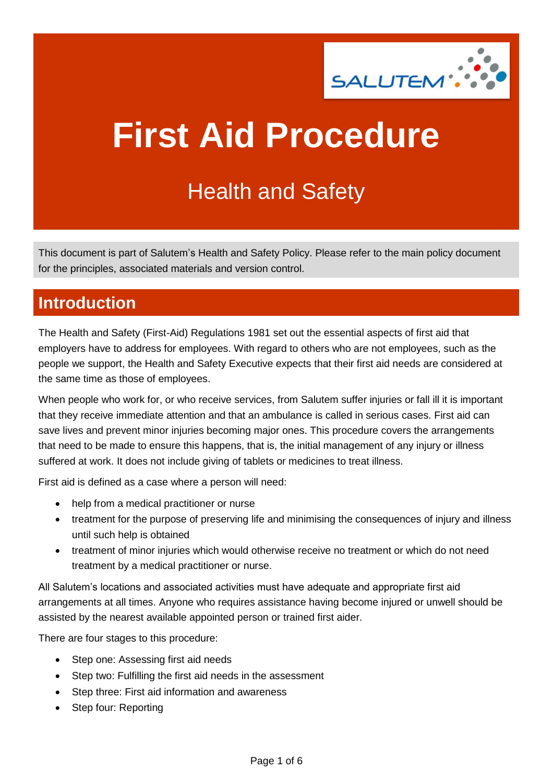

# **First Aid Procedure**

## Health and Safety

This document is part of Salutem's Health and Safety Policy. Please refer to the main policy document for the principles, associated materials and version control.

## **Introduction**

The Health and Safety (First-Aid) Regulations 1981 set out the essential aspects of first aid that employers have to address for employees. With regard to others who are not employees, such as the people we support, the Health and Safety Executive expects that their first aid needs are considered at the same time as those of employees.

When people who work for, or who receive services, from Salutem suffer injuries or fall ill it is important that they receive immediate attention and that an ambulance is called in serious cases. First aid can save lives and prevent minor injuries becoming major ones. This procedure covers the arrangements that need to be made to ensure this happens, that is, the initial management of any injury or illness suffered at work. It does not include giving of tablets or medicines to treat illness.

First aid is defined as a case where a person will need:

- help from a medical practitioner or nurse
- treatment for the purpose of preserving life and minimising the consequences of injury and illness until such help is obtained
- treatment of minor injuries which would otherwise receive no treatment or which do not need treatment by a medical practitioner or nurse.

All Salutem's locations and associated activities must have adequate and appropriate first aid arrangements at all times. Anyone who requires assistance having become injured or unwell should be assisted by the nearest available appointed person or trained first aider.

There are four stages to this procedure:

- Step one: Assessing first aid needs
- Step two: Fulfilling the first aid needs in the assessment
- Step three: First aid information and awareness
- Step four: Reporting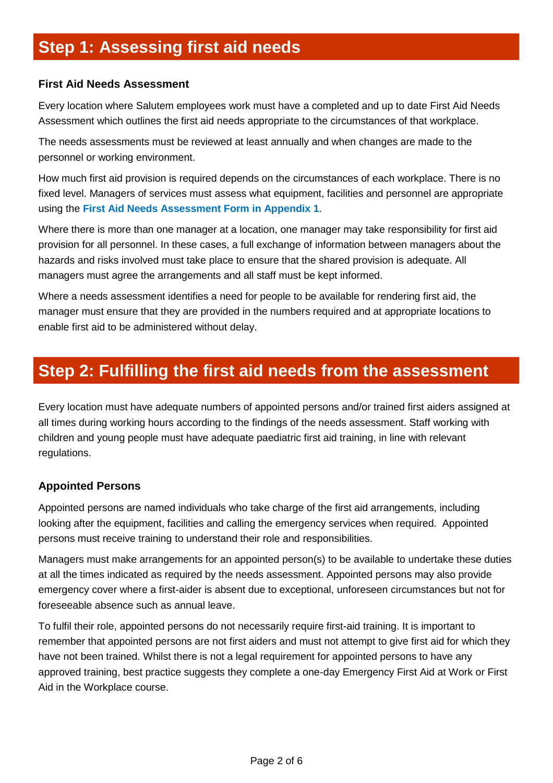## **Step 1: Assessing first aid needs**

#### **First Aid Needs Assessment**

Every location where Salutem employees work must have a completed and up to date First Aid Needs Assessment which outlines the first aid needs appropriate to the circumstances of that workplace.

The needs assessments must be reviewed at least annually and when changes are made to the personnel or working environment.

How much first aid provision is required depends on the circumstances of each workplace. There is no fixed level. Managers of services must assess what equipment, facilities and personnel are appropriate using the **First Aid Needs Assessment Form in Appendix 1**.

Where there is more than one manager at a location, one manager may take responsibility for first aid provision for all personnel. In these cases, a full exchange of information between managers about the hazards and risks involved must take place to ensure that the shared provision is adequate. All managers must agree the arrangements and all staff must be kept informed.

Where a needs assessment identifies a need for people to be available for rendering first aid, the manager must ensure that they are provided in the numbers required and at appropriate locations to enable first aid to be administered without delay.

### **Step 2: Fulfilling the first aid needs from the assessment**

Every location must have adequate numbers of appointed persons and/or trained first aiders assigned at all times during working hours according to the findings of the needs assessment. Staff working with children and young people must have adequate paediatric first aid training, in line with relevant regulations.

#### **Appointed Persons**

Appointed persons are named individuals who take charge of the first aid arrangements, including looking after the equipment, facilities and calling the emergency services when required. Appointed persons must receive training to understand their role and responsibilities.

Managers must make arrangements for an appointed person(s) to be available to undertake these duties at all the times indicated as required by the needs assessment. Appointed persons may also provide emergency cover where a first-aider is absent due to exceptional, unforeseen circumstances but not for foreseeable absence such as annual leave.

To fulfil their role, appointed persons do not necessarily require first-aid training. It is important to remember that appointed persons are not first aiders and must not attempt to give first aid for which they have not been trained. Whilst there is not a legal requirement for appointed persons to have any approved training, best practice suggests they complete a one-day Emergency First Aid at Work or First Aid in the Workplace course.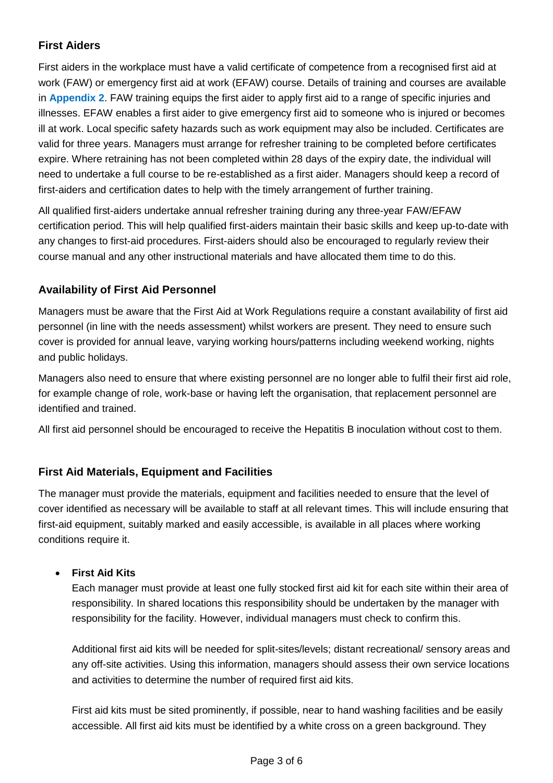#### **First Aiders**

First aiders in the workplace must have a valid certificate of competence from a recognised first aid at work (FAW) or emergency first aid at work (EFAW) course. Details of training and courses are available in **Appendix 2**. FAW training equips the first aider to apply first aid to a range of specific injuries and illnesses. EFAW enables a first aider to give emergency first aid to someone who is injured or becomes ill at work. Local specific safety hazards such as work equipment may also be included. Certificates are valid for three years. Managers must arrange for refresher training to be completed before certificates expire. Where retraining has not been completed within 28 days of the expiry date, the individual will need to undertake a full course to be re-established as a first aider. Managers should keep a record of first-aiders and certification dates to help with the timely arrangement of further training.

All qualified first-aiders undertake annual refresher training during any three-year FAW/EFAW certification period. This will help qualified first-aiders maintain their basic skills and keep up-to-date with any changes to first-aid procedures. First-aiders should also be encouraged to regularly review their course manual and any other instructional materials and have allocated them time to do this.

#### **Availability of First Aid Personnel**

Managers must be aware that the First Aid at Work Regulations require a constant availability of first aid personnel (in line with the needs assessment) whilst workers are present. They need to ensure such cover is provided for annual leave, varying working hours/patterns including weekend working, nights and public holidays.

Managers also need to ensure that where existing personnel are no longer able to fulfil their first aid role, for example change of role, work-base or having left the organisation, that replacement personnel are identified and trained.

All first aid personnel should be encouraged to receive the Hepatitis B inoculation without cost to them.

#### **First Aid Materials, Equipment and Facilities**

The manager must provide the materials, equipment and facilities needed to ensure that the level of cover identified as necessary will be available to staff at all relevant times. This will include ensuring that first-aid equipment, suitably marked and easily accessible, is available in all places where working conditions require it.

#### • **First Aid Kits**

Each manager must provide at least one fully stocked first aid kit for each site within their area of responsibility. In shared locations this responsibility should be undertaken by the manager with responsibility for the facility. However, individual managers must check to confirm this.

Additional first aid kits will be needed for split-sites/levels; distant recreational/ sensory areas and any off-site activities. Using this information, managers should assess their own service locations and activities to determine the number of required first aid kits.

First aid kits must be sited prominently, if possible, near to hand washing facilities and be easily accessible. All first aid kits must be identified by a white cross on a green background. They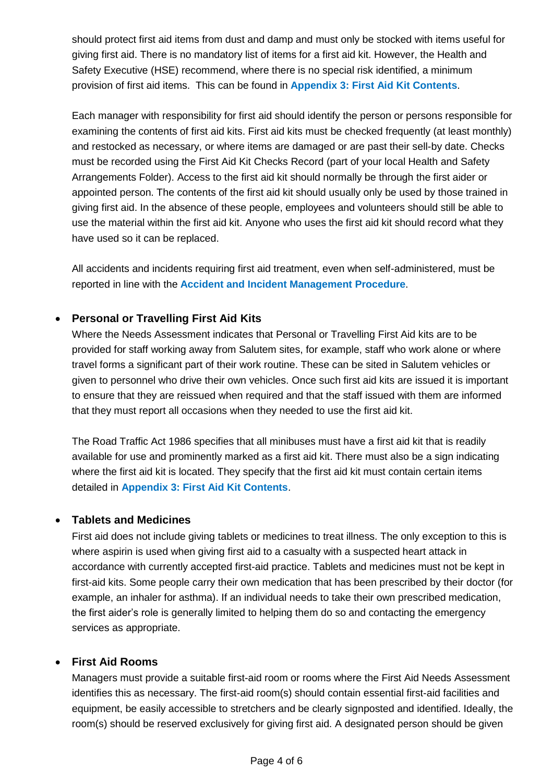should protect first aid items from dust and damp and must only be stocked with items useful for giving first aid. There is no mandatory list of items for a first aid kit. However, the Health and Safety Executive (HSE) recommend, where there is no special risk identified, a minimum provision of first aid items. This can be found in **Appendix 3: First Aid Kit Contents**.

Each manager with responsibility for first aid should identify the person or persons responsible for examining the contents of first aid kits. First aid kits must be checked frequently (at least monthly) and restocked as necessary, or where items are damaged or are past their sell-by date. Checks must be recorded using the First Aid Kit Checks Record (part of your local Health and Safety Arrangements Folder). Access to the first aid kit should normally be through the first aider or appointed person. The contents of the first aid kit should usually only be used by those trained in giving first aid. In the absence of these people, employees and volunteers should still be able to use the material within the first aid kit. Anyone who uses the first aid kit should record what they have used so it can be replaced.

All accidents and incidents requiring first aid treatment, even when self-administered, must be reported in line with the **Accident and Incident Management Procedure**.

#### • **Personal or Travelling First Aid Kits**

Where the Needs Assessment indicates that Personal or Travelling First Aid kits are to be provided for staff working away from Salutem sites, for example, staff who work alone or where travel forms a significant part of their work routine. These can be sited in Salutem vehicles or given to personnel who drive their own vehicles. Once such first aid kits are issued it is important to ensure that they are reissued when required and that the staff issued with them are informed that they must report all occasions when they needed to use the first aid kit.

The Road Traffic Act 1986 specifies that all minibuses must have a first aid kit that is readily available for use and prominently marked as a first aid kit. There must also be a sign indicating where the first aid kit is located. They specify that the first aid kit must contain certain items detailed in **Appendix 3: First Aid Kit Contents**.

#### • **Tablets and Medicines**

First aid does not include giving tablets or medicines to treat illness. The only exception to this is where aspirin is used when giving first aid to a casualty with a suspected heart attack in accordance with currently accepted first-aid practice. Tablets and medicines must not be kept in first-aid kits. Some people carry their own medication that has been prescribed by their doctor (for example, an inhaler for asthma). If an individual needs to take their own prescribed medication, the first aider's role is generally limited to helping them do so and contacting the emergency services as appropriate.

#### • **First Aid Rooms**

Managers must provide a suitable first-aid room or rooms where the First Aid Needs Assessment identifies this as necessary. The first-aid room(s) should contain essential first-aid facilities and equipment, be easily accessible to stretchers and be clearly signposted and identified. Ideally, the room(s) should be reserved exclusively for giving first aid. A designated person should be given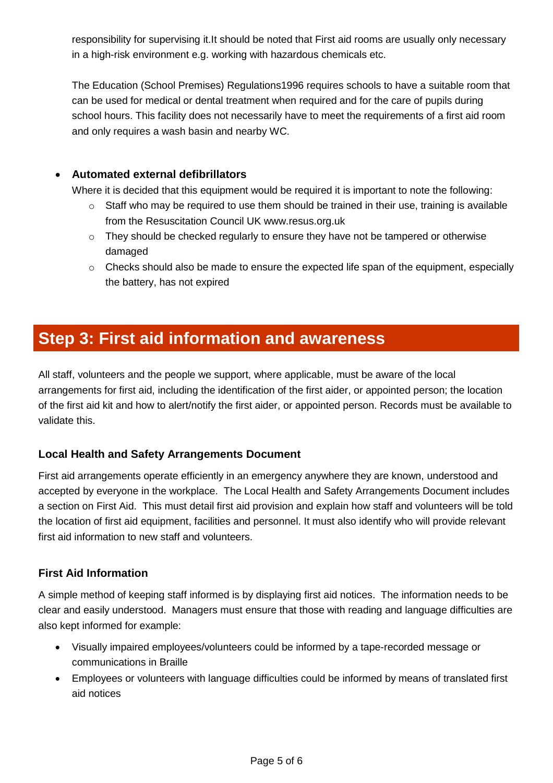responsibility for supervising it.It should be noted that First aid rooms are usually only necessary in a high-risk environment e.g. working with hazardous chemicals etc.

The Education (School Premises) Regulations1996 requires schools to have a suitable room that can be used for medical or dental treatment when required and for the care of pupils during school hours. This facility does not necessarily have to meet the requirements of a first aid room and only requires a wash basin and nearby WC.

#### • **Automated external defibrillators**

Where it is decided that this equipment would be required it is important to note the following:

- $\circ$  Staff who may be required to use them should be trained in their use, training is available from the Resuscitation Council UK www.resus.org.uk
- o They should be checked regularly to ensure they have not be tampered or otherwise damaged
- $\circ$  Checks should also be made to ensure the expected life span of the equipment, especially the battery, has not expired

## **Step 3: First aid information and awareness**

All staff, volunteers and the people we support, where applicable, must be aware of the local arrangements for first aid, including the identification of the first aider, or appointed person; the location of the first aid kit and how to alert/notify the first aider, or appointed person. Records must be available to validate this.

#### **Local Health and Safety Arrangements Document**

First aid arrangements operate efficiently in an emergency anywhere they are known, understood and accepted by everyone in the workplace. The Local Health and Safety Arrangements Document includes a section on First Aid. This must detail first aid provision and explain how staff and volunteers will be told the location of first aid equipment, facilities and personnel. It must also identify who will provide relevant first aid information to new staff and volunteers.

#### **First Aid Information**

A simple method of keeping staff informed is by displaying first aid notices. The information needs to be clear and easily understood. Managers must ensure that those with reading and language difficulties are also kept informed for example:

- Visually impaired employees/volunteers could be informed by a tape-recorded message or communications in Braille
- Employees or volunteers with language difficulties could be informed by means of translated first aid notices